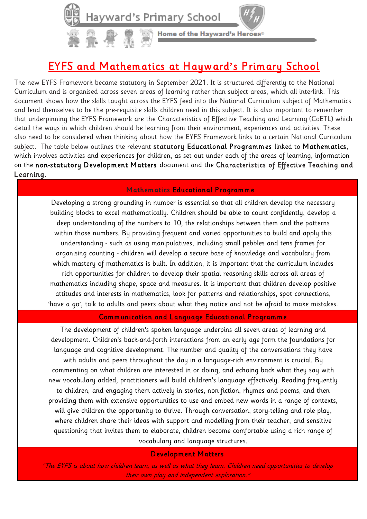

Home of the Hayward's Heroes®

# EYFS and Mathematics at Hayward's Primary School

The new EYFS Framework became statutory in September 2021. It is structured differently to the National Curriculum and is organised across seven areas of learning rather than subject areas, which all interlink. This document shows how the skills taught across the EYFS feed into the National Curriculum subject of Mathematics and lend themselves to be the pre-requisite skills children need in this subject. It is also important to remember that underpinning the EYFS Framework are the Characteristics of Effective Teaching and Learning (CoETL) which detail the ways in which children should be learning from their environment, experiences and activities. These also need to be considered when thinking about how the EYFS Framework links to a certain National Curriculum subject. The table below outlines the relevant statutory Educational Programmes linked to Mathematics, which involves activities and experiences for children, as set out under each of the areas of learning, information on the non-statutory Development Matters document and the Characteristics of Effective Teaching and Learning.

### Mathematics Educational Programme

Developing a strong grounding in number is essential so that all children develop the necessary building blocks to excel mathematically. Children should be able to count confidently, develop a deep understanding of the numbers to 10, the relationships between them and the patterns within those numbers. By providing frequent and varied opportunities to build and apply this understanding - such as using manipulatives, including small pebbles and tens frames for organising counting - children will develop a secure base of knowledge and vocabulary from which mastery of mathematics is built. In addition, it is important that the curriculum includes rich opportunities for children to develop their spatial reasoning skills across all areas of mathematics including shape, space and measures. It is important that children develop positive attitudes and interests in mathematics, look for patterns and relationships, spot connections, 'have a go', talk to adults and peers about what they notice and not be afraid to make mistakes.

#### Communication and Language Educational Programme

The development of children's spoken language underpins all seven areas of learning and development. Children's back-and-forth interactions from an early age form the foundations for language and cognitive development. The number and quality of the conversations they have with adults and peers throughout the day in a language-rich environment is crucial. By commenting on what children are interested in or doing, and echoing back what they say with new vocabulary added, practitioners will build children's language effectively. Reading frequently to children, and engaging them actively in stories, non-fiction, rhymes and poems, and then providing them with extensive opportunities to use and embed new words in a range of contexts, will give children the opportunity to thrive. Through conversation, story-telling and role play, where children share their ideas with support and modelling from their teacher, and sensitive questioning that invites them to elaborate, children become comfortable using a rich range of vocabulary and language structures.

#### Development Matters

"The EYFS is about how children learn, as well as what they learn. Children need opportunities to develop their own play and independent exploration."